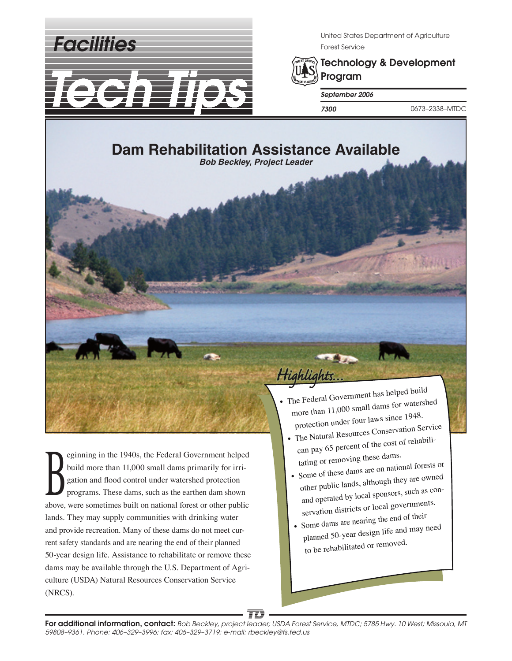*Facilities*



United States Department of Agriculture Forest Service



Technology & Development Program

*September 2006*

*7300* 0673–2338–MTDC

# **Dam Rehabilitation Assistance Available**

*Bob Beckley, Project Leader*

Equining in the 1940s, the Federal Government helped<br>build more than 11,000 small dams primarily for irrigation and flood control under watershed protection<br>programs. These dams, such as the earthen dam shown build more than 11,000 small dams primarily for irrigation and flood control under watershed protection programs. These dams, such as the earthen dam shown above, were sometimes built on national forest or other public lands. They may supply communities with drinking water and provide recreation. Many of these dams do not meet current safety standards and are nearing the end of their planned 50-year design life. Assistance to rehabilitate or remove these dams may be available through the U.S. Department of Agriculture (USDA) Natural Resources Conservation Service (NRCS).

• The Federal Government has helped build more than 11,000 small dams for watershed protection under four laws since 1948.

 $\mathbf{z}$ 

Highlights...

- The Natural Resources Conservation Service can pay 65 percent of the cost of rehabili tating or removing these dams.
- Some of these dams are on national forests or <sup>o</sup>ther public lands, although they are owned and operated by local sponsors, such as con servation districts or local governments.
- Some dams are nearing the end of their planned 50-year design life and may need to be rehabilitated or removed.

TD For additional information, contact: *Bob Beckley, project leader; USDA Forest Service, MTDC; 5785 Hwy. 10 West; Missoula, MT 59808–9361. Phone: 406–329–3996; fax: 406–329–3719; e-mail: rbeckley@fs.fed.us*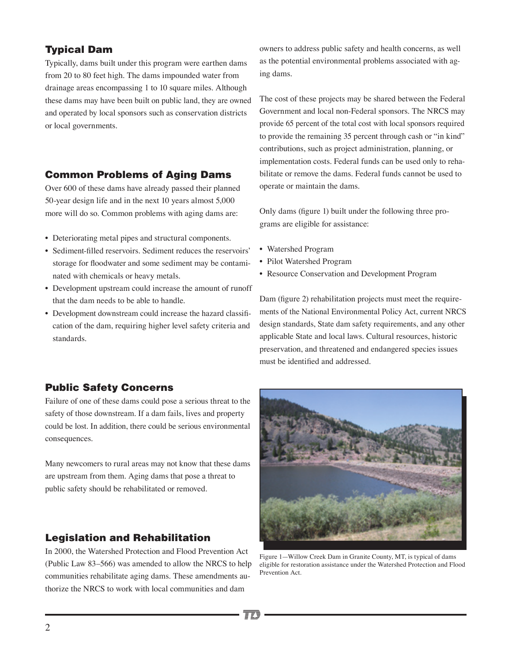## Typical Dam

Typically, dams built under this program were earthen dams from 20 to 80 feet high. The dams impounded water from drainage areas encompassing 1 to 10 square miles. Although these dams may have been built on public land, they are owned and operated by local sponsors such as conservation districts or local governments.

## Common Problems of Aging Dams

Over 600 of these dams have already passed their planned 50-year design life and in the next 10 years almost 5,000 more will do so. Common problems with aging dams are:

- Deteriorating metal pipes and structural components.
- Sediment-filled reservoirs. Sediment reduces the reservoirs' storage for floodwater and some sediment may be contaminated with chemicals or heavy metals.
- Development upstream could increase the amount of runoff that the dam needs to be able to handle.
- Development downstream could increase the hazard classification of the dam, requiring higher level safety criteria and standards.

owners to address public safety and health concerns, as well as the potential environmental problems associated with aging dams.

The cost of these projects may be shared between the Federal Government and local non-Federal sponsors. The NRCS may provide 65 percent of the total cost with local sponsors required to provide the remaining 35 percent through cash or "in kind" contributions, such as project administration, planning, or implementation costs. Federal funds can be used only to rehabilitate or remove the dams. Federal funds cannot be used to operate or maintain the dams.

Only dams (figure 1) built under the following three programs are eligible for assistance:

- Watershed Program
- Pilot Watershed Program
- Resource Conservation and Development Program

Dam (figure 2) rehabilitation projects must meet the requirements of the National Environmental Policy Act, current NRCS design standards, State dam safety requirements, and any other applicable State and local laws. Cultural resources, historic preservation, and threatened and endangered species issues must be identified and addressed.

## Public Safety Concerns

Failure of one of these dams could pose a serious threat to the safety of those downstream. If a dam fails, lives and property could be lost. In addition, there could be serious environmental consequences.

Many newcomers to rural areas may not know that these dams are upstream from them. Aging dams that pose a threat to public safety should be rehabilitated or removed.

## Legislation and Rehabilitation

In 2000, the Watershed Protection and Flood Prevention Act (Public Law 83–566) was amended to allow the NRCS to help communities rehabilitate aging dams. These amendments authorize the NRCS to work with local communities and dam



Figure 1—Willow Creek Dam in Granite County, MT, is typical of dams eligible for restoration assistance under the Watershed Protection and Flood Prevention Act.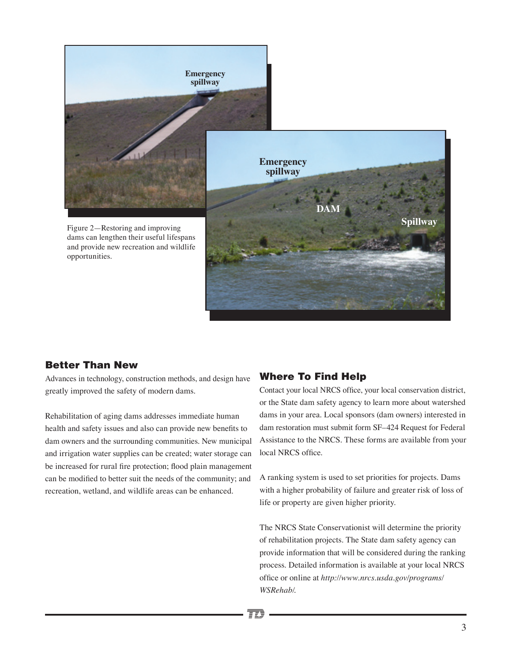

## Better Than New

Advances in technology, construction methods, and design have greatly improved the safety of modern dams.

Rehabilitation of aging dams addresses immediate human health and safety issues and also can provide new benefits to dam owners and the surrounding communities. New municipal and irrigation water supplies can be created; water storage can be increased for rural fire protection; flood plain management can be modified to better suit the needs of the community; and recreation, wetland, and wildlife areas can be enhanced.

#### Where To Find Help

Contact your local NRCS office, your local conservation district, or the State dam safety agency to learn more about watershed dams in your area. Local sponsors (dam owners) interested in dam restoration must submit form SF–424 Request for Federal Assistance to the NRCS. These forms are available from your local NRCS office.

A ranking system is used to set priorities for projects. Dams with a higher probability of failure and greater risk of loss of life or property are given higher priority.

The NRCS State Conservationist will determine the priority of rehabilitation projects. The State dam safety agency can provide information that will be considered during the ranking process. Detailed information is available at your local NRCS office or online at *http://www.nrcs.usda.gov/programs/ WSRehab/*.